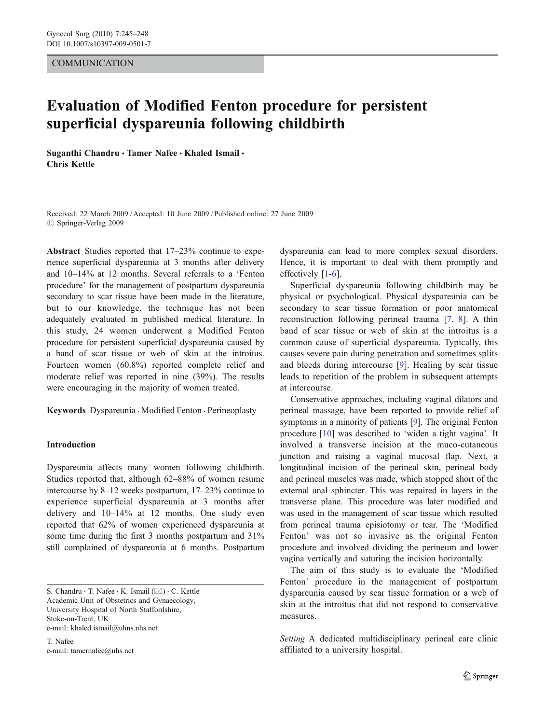## **COMMUNICATION**

# Evaluation of Modified Fenton procedure for persistent superficial dyspareunia following childbirth

Suganthi Chandru · Tamer Nafee · Khaled Ismail · Chris Kettle

Received: 22 March 2009 /Accepted: 10 June 2009 / Published online: 27 June 2009  $\circ$  Springer-Verlag 2009

Abstract Studies reported that 17–23% continue to experience superficial dyspareunia at 3 months after delivery and 10–14% at 12 months. Several referrals to a 'Fenton procedure' for the management of postpartum dyspareunia secondary to scar tissue have been made in the literature, but to our knowledge, the technique has not been adequately evaluated in published medical literature. In this study, 24 women underwent a Modified Fenton procedure for persistent superficial dyspareunia caused by a band of scar tissue or web of skin at the introitus. Fourteen women (60.8%) reported complete relief and moderate relief was reported in nine (39%). The results were encouraging in the majority of women treated.

Keywords Dyspareunia . Modified Fenton . Perineoplasty

## Introduction

Dyspareunia affects many women following childbirth. Studies reported that, although 62–88% of women resume intercourse by 8–12 weeks postpartum, 17–23% continue to experience superficial dyspareunia at 3 months after delivery and 10–14% at 12 months. One study even reported that 62% of women experienced dyspareunia at some time during the first 3 months postpartum and 31% still complained of dyspareunia at 6 months. Postpartum

S. Chandru  $\cdot$  T. Nafee  $\cdot$  K. Ismail ( $\boxtimes$ )  $\cdot$  C. Kettle Academic Unit of Obstetrics and Gynaecology, University Hospital of North Staffordshire, Stoke-on-Trent, UK e-mail: khaled.ismail@uhns.nhs.net

T. Nafee e-mail: tamernafee@nhs.net dyspareunia can lead to more complex sexual disorders. Hence, it is important to deal with them promptly and effectively [[1-6\]](#page-2-0).

Superficial dyspareunia following childbirth may be physical or psychological. Physical dyspareunia can be secondary to scar tissue formation or poor anatomical reconstruction following perineal trauma [[7,](#page-2-0) [8](#page-2-0)]. A thin band of scar tissue or web of skin at the introitus is a common cause of superficial dyspareunia. Typically, this causes severe pain during penetration and sometimes splits and bleeds during intercourse [[9\]](#page-2-0). Healing by scar tissue leads to repetition of the problem in subsequent attempts at intercourse.

Conservative approaches, including vaginal dilators and perineal massage, have been reported to provide relief of symptoms in a minority of patients [[9\]](#page-2-0). The original Fenton procedure [[10\]](#page-3-0) was described to 'widen a tight vagina'. It involved a transverse incision at the muco-cutaneous junction and raising a vaginal mucosal flap. Next, a longitudinal incision of the perineal skin, perineal body and perineal muscles was made, which stopped short of the external anal sphincter. This was repaired in layers in the transverse plane. This procedure was later modified and was used in the management of scar tissue which resulted from perineal trauma episiotomy or tear. The 'Modified Fenton' was not so invasive as the original Fenton procedure and involved dividing the perineum and lower vagina vertically and suturing the incision horizontally.

The aim of this study is to evaluate the 'Modified Fenton' procedure in the management of postpartum dyspareunia caused by scar tissue formation or a web of skin at the introitus that did not respond to conservative measures.

Setting A dedicated multidisciplinary perineal care clinic affiliated to a university hospital.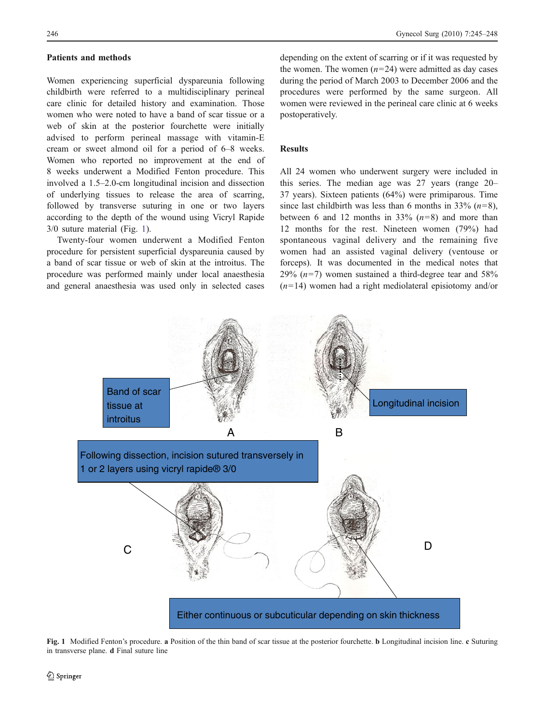### Patients and methods

Women experiencing superficial dyspareunia following childbirth were referred to a multidisciplinary perineal care clinic for detailed history and examination. Those women who were noted to have a band of scar tissue or a web of skin at the posterior fourchette were initially advised to perform perineal massage with vitamin-E cream or sweet almond oil for a period of 6–8 weeks. Women who reported no improvement at the end of 8 weeks underwent a Modified Fenton procedure. This involved a 1.5–2.0-cm longitudinal incision and dissection of underlying tissues to release the area of scarring, followed by transverse suturing in one or two layers according to the depth of the wound using Vicryl Rapide 3/0 suture material (Fig. 1).

Twenty-four women underwent a Modified Fenton procedure for persistent superficial dyspareunia caused by a band of scar tissue or web of skin at the introitus. The procedure was performed mainly under local anaesthesia and general anaesthesia was used only in selected cases depending on the extent of scarring or if it was requested by the women. The women  $(n=24)$  were admitted as day cases during the period of March 2003 to December 2006 and the procedures were performed by the same surgeon. All women were reviewed in the perineal care clinic at 6 weeks postoperatively.

## Results

All 24 women who underwent surgery were included in this series. The median age was 27 years (range 20– 37 years). Sixteen patients (64%) were primiparous. Time since last childbirth was less than 6 months in  $33\%$  ( $n=8$ ), between 6 and 12 months in  $33\%$   $(n=8)$  and more than 12 months for the rest. Nineteen women (79%) had spontaneous vaginal delivery and the remaining five women had an assisted vaginal delivery (ventouse or forceps). It was documented in the medical notes that 29%  $(n=7)$  women sustained a third-degree tear and 58%  $(n=14)$  women had a right mediolateral episiotomy and/or



Fig. 1 Modified Fenton's procedure. a Position of the thin band of scar tissue at the posterior fourchette. b Longitudinal incision line. c Suturing in transverse plane. d Final suture line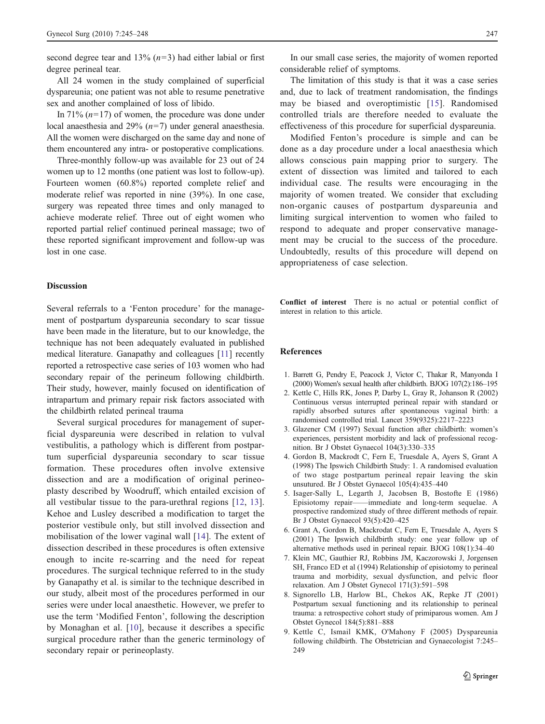<span id="page-2-0"></span>second degree tear and 13%  $(n=3)$  had either labial or first degree perineal tear.

All 24 women in the study complained of superficial dyspareunia; one patient was not able to resume penetrative sex and another complained of loss of libido.

In 71%  $(n=17)$  of women, the procedure was done under local anaesthesia and 29%  $(n=7)$  under general anaesthesia. All the women were discharged on the same day and none of them encountered any intra- or postoperative complications.

Three-monthly follow-up was available for 23 out of 24 women up to 12 months (one patient was lost to follow-up). Fourteen women (60.8%) reported complete relief and moderate relief was reported in nine (39%). In one case, surgery was repeated three times and only managed to achieve moderate relief. Three out of eight women who reported partial relief continued perineal massage; two of these reported significant improvement and follow-up was lost in one case.

## Discussion

Several referrals to a 'Fenton procedure' for the management of postpartum dyspareunia secondary to scar tissue have been made in the literature, but to our knowledge, the technique has not been adequately evaluated in published medical literature. Ganapathy and colleagues [[11](#page-3-0)] recently reported a retrospective case series of 103 women who had secondary repair of the perineum following childbirth. Their study, however, mainly focused on identification of intrapartum and primary repair risk factors associated with the childbirth related perineal trauma

Several surgical procedures for management of superficial dyspareunia were described in relation to vulval vestibulitis, a pathology which is different from postpartum superficial dyspareunia secondary to scar tissue formation. These procedures often involve extensive dissection and are a modification of original perineoplasty described by Woodruff, which entailed excision of all vestibular tissue to the para-urethral regions [\[12](#page-3-0), [13](#page-3-0)]. Kehoe and Lusley described a modification to target the posterior vestibule only, but still involved dissection and mobilisation of the lower vaginal wall [[14](#page-3-0)]. The extent of dissection described in these procedures is often extensive enough to incite re-scarring and the need for repeat procedures. The surgical technique referred to in the study by Ganapathy et al. is similar to the technique described in our study, albeit most of the procedures performed in our series were under local anaesthetic. However, we prefer to use the term 'Modified Fenton', following the description by Monaghan et al. [[10\]](#page-3-0), because it describes a specific surgical procedure rather than the generic terminology of secondary repair or perineoplasty.

In our small case series, the majority of women reported considerable relief of symptoms.

The limitation of this study is that it was a case series and, due to lack of treatment randomisation, the findings may be biased and overoptimistic [[15](#page-3-0)]. Randomised controlled trials are therefore needed to evaluate the effectiveness of this procedure for superficial dyspareunia.

Modified Fenton's procedure is simple and can be done as a day procedure under a local anaesthesia which allows conscious pain mapping prior to surgery. The extent of dissection was limited and tailored to each individual case. The results were encouraging in the majority of women treated. We consider that excluding non-organic causes of postpartum dyspareunia and limiting surgical intervention to women who failed to respond to adequate and proper conservative management may be crucial to the success of the procedure. Undoubtedly, results of this procedure will depend on appropriateness of case selection.

Conflict of interest There is no actual or potential conflict of interest in relation to this article.

#### References

- 1. Barrett G, Pendry E, Peacock J, Victor C, Thakar R, Manyonda I (2000) Women's sexual health after childbirth. BJOG 107(2):186–195
- 2. Kettle C, Hills RK, Jones P, Darby L, Gray R, Johanson R (2002) Continuous versus interrupted perineal repair with standard or rapidly absorbed sutures after spontaneous vaginal birth: a randomised controlled trial. Lancet 359(9325):2217–2223
- 3. Glazener CM (1997) Sexual function after childbirth: women's experiences, persistent morbidity and lack of professional recognition. Br J Obstet Gynaecol 104(3):330–335
- 4. Gordon B, Mackrodt C, Fern E, Truesdale A, Ayers S, Grant A (1998) The Ipswich Childbirth Study: 1. A randomised evaluation of two stage postpartum perineal repair leaving the skin unsutured. Br J Obstet Gynaecol 105(4):435–440
- 5. Isager-Sally L, Legarth J, Jacobsen B, Bostofte E (1986) Episiotomy repair——immediate and long-term sequelae. A prospective randomized study of three different methods of repair. Br J Obstet Gynaecol 93(5):420–425
- 6. Grant A, Gordon B, Mackrodat C, Fern E, Truesdale A, Ayers S (2001) The Ipswich childbirth study: one year follow up of alternative methods used in perineal repair. BJOG 108(1):34–40
- 7. Klein MC, Gauthier RJ, Robbins JM, Kaczorowski J, Jorgensen SH, Franco ED et al (1994) Relationship of episiotomy to perineal trauma and morbidity, sexual dysfunction, and pelvic floor relaxation. Am J Obstet Gynecol 171(3):591–598
- 8. Signorello LB, Harlow BL, Chekos AK, Repke JT (2001) Postpartum sexual functioning and its relationship to perineal trauma: a retrospective cohort study of primiparous women. Am J Obstet Gynecol 184(5):881–888
- 9. Kettle C, Ismail KMK, O'Mahony F (2005) Dyspareunia following childbirth. The Obstetrician and Gynaecologist 7:245– 249